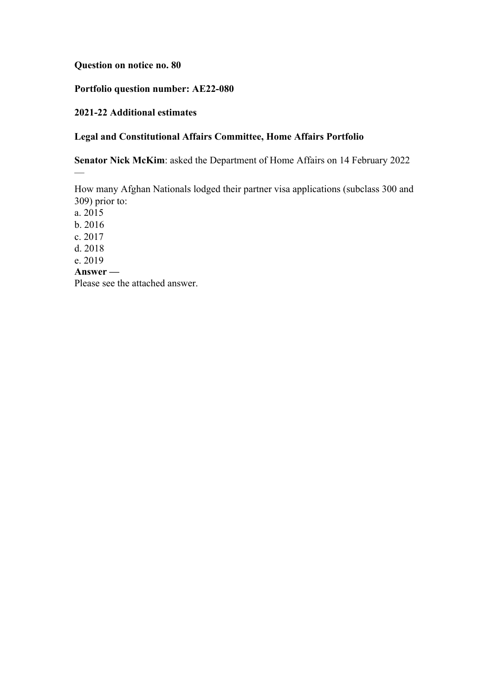# **Question on notice no. 80**

# **Portfolio question number: AE22-080**

### **2021-22 Additional estimates**

# **Legal and Constitutional Affairs Committee, Home Affairs Portfolio**

**Senator Nick McKim**: asked the Department of Home Affairs on 14 February 2022

How many Afghan Nationals lodged their partner visa applications (subclass 300 and 309) prior to:

a. 2015 b. 2016 c. 2017 d. 2018 e. 2019 **Answer —** Please see the attached answer.

 $\overline{a}$